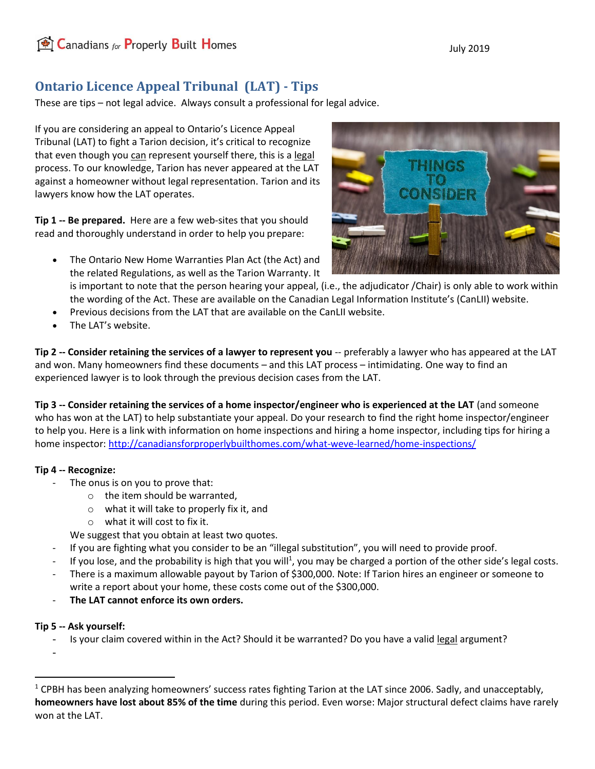## **Ontario Licence Appeal Tribunal (LAT) - Tips**

These are tips – not legal advice. Always consult a professional for legal advice.

If you are considering an appeal to Ontario's Licence Appeal Tribunal (LAT) to fight a Tarion decision, it's critical to recognize that even though you can represent yourself there, this is a legal process. To our knowledge, Tarion has never appeared at the LAT against a homeowner without legal representation. Tarion and its lawyers know how the LAT operates.

**Tip 1 -- Be prepared.** Here are a few web-sites that you should read and thoroughly understand in order to help you prepare:

• The Ontario New Home Warranties Plan Act (the Act) and the related Regulations, as well as the Tarion Warranty. It

is important to note that the person hearing your appeal, (i.e., the adjudicator /Chair) is only able to work within the wording of the Act. These are available on the Canadian Legal Information Institute's (CanLII) website.

- Previous decisions from the LAT that are available on the CanLII website.
- The LAT's website.

**Tip 2 -- Consider retaining the services of a lawyer to represent you** -- preferably a lawyer who has appeared at the LAT and won. Many homeowners find these documents – and this LAT process – intimidating. One way to find an experienced lawyer is to look through the previous decision cases from the LAT.

**Tip 3 -- Consider retaining the services of a home inspector/engineer who is experienced at the LAT** (and someone who has won at the LAT) to help substantiate your appeal. Do your research to find the right home inspector/engineer to help you. Here is a link with information on home inspections and hiring a home inspector, including tips for hiring a home inspector[: http://canadiansforproperlybuilthomes.com/what-weve-learned/home-inspections/](http://canadiansforproperlybuilthomes.com/what-weve-learned/home-inspections/)

## **Tip 4 -- Recognize:**

- The onus is on you to prove that:
	- o the item should be warranted,
	- o what it will take to properly fix it, and
	- o what it will cost to fix it.

We suggest that you obtain at least two quotes.

- If you are fighting what you consider to be an "illegal substitution", you will need to provide proof.
- If you lose, and the probability is high that you will<sup>1</sup>, you may be charged a portion of the other side's legal costs.
- There is a maximum allowable payout by Tarion of \$300,000. Note: If Tarion hires an engineer or someone to write a report about your home, these costs come out of the \$300,000.
- **The LAT cannot enforce its own orders.**

## **Tip 5 -- Ask yourself:**

Is your claim covered within in the Act? Should it be warranted? Do you have a valid legal argument?

-



<sup>&</sup>lt;sup>1</sup> CPBH has been analyzing homeowners' success rates fighting Tarion at the LAT since 2006. Sadly, and unacceptably, **homeowners have lost about 85% of the time** during this period. Even worse: Major structural defect claims have rarely won at the LAT.